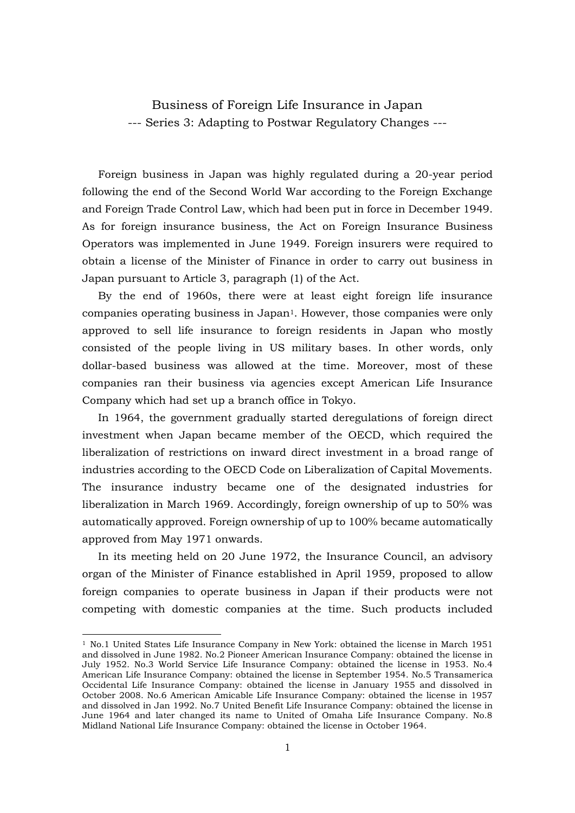Business of Foreign Life Insurance in Japan --- Series 3: Adapting to Postwar Regulatory Changes ---

 Foreign business in Japan was highly regulated during a 20-year period following the end of the Second World War according to the Foreign Exchange and Foreign Trade Control Law, which had been put in force in December 1949. As for foreign insurance business, the Act on Foreign Insurance Business Operators was implemented in June 1949. Foreign insurers were required to obtain a license of the Minister of Finance in order to carry out business in Japan pursuant to Article 3, paragraph (1) of the Act.

By the end of 1960s, there were at least eight foreign life insurance companies operating business in Japan<sup>1</sup>. However, those companies were only approved to sell life insurance to foreign residents in Japan who mostly consisted of the people living in US military bases. In other words, only dollar-based business was allowed at the time. Moreover, most of these companies ran their business via agencies except American Life Insurance Company which had set up a branch office in Tokyo.

In 1964, the government gradually started deregulations of foreign direct investment when Japan became member of the OECD, which required the liberalization of restrictions on inward direct investment in a broad range of industries according to the OECD Code on Liberalization of Capital Movements. The insurance industry became one of the designated industries for liberalization in March 1969. Accordingly, foreign ownership of up to 50% was automatically approved. Foreign ownership of up to 100% became automatically approved from May 1971 onwards.

In its meeting held on 20 June 1972, the Insurance Council, an advisory organ of the Minister of Finance established in April 1959, proposed to allow foreign companies to operate business in Japan if their products were not competing with domestic companies at the time. Such products included

-

<sup>1</sup> No.1 United States Life Insurance Company in New York: obtained the license in March 1951 and dissolved in June 1982. No.2 Pioneer American Insurance Company: obtained the license in July 1952. No.3 World Service Life Insurance Company: obtained the license in 1953. No.4 American Life Insurance Company: obtained the license in September 1954. No.5 Transamerica Occidental Life Insurance Company: obtained the license in January 1955 and dissolved in October 2008. No.6 American Amicable Life Insurance Company: obtained the license in 1957 and dissolved in Jan 1992. No.7 United Benefit Life Insurance Company: obtained the license in June 1964 and later changed its name to United of Omaha Life Insurance Company. No.8 Midland National Life Insurance Company: obtained the license in October 1964.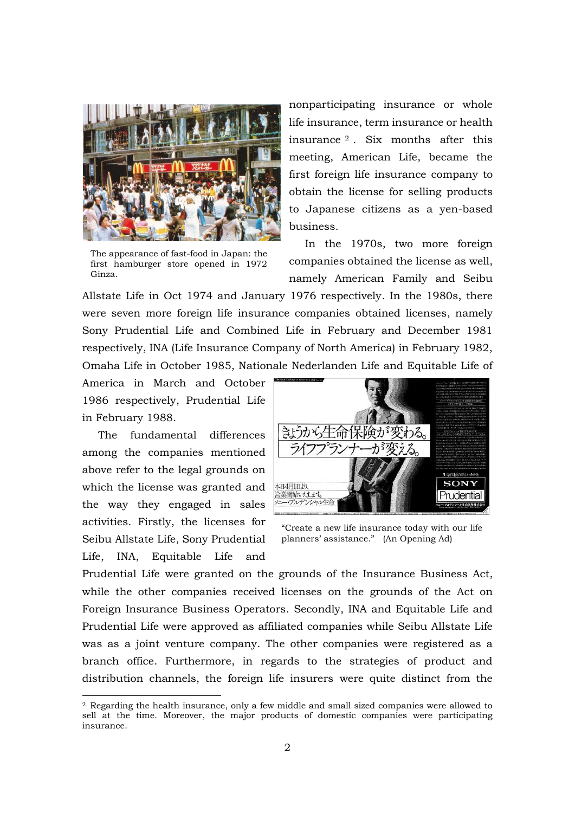

The appearance of fast-food in Japan: the first hamburger store opened in 1972 Ginza.

nonparticipating insurance or whole life insurance, term insurance or health insurance <sup>2</sup> . Six months after this meeting, American Life, became the first foreign life insurance company to obtain the license for selling products to Japanese citizens as a yen-based business.

In the 1970s, two more foreign companies obtained the license as well, namely American Family and Seibu

Allstate Life in Oct 1974 and January 1976 respectively. In the 1980s, there were seven more foreign life insurance companies obtained licenses, namely Sony Prudential Life and Combined Life in February and December 1981 respectively, INA (Life Insurance Company of North America) in February 1982, Omaha Life in October 1985, Nationale Nederlanden Life and Equitable Life of

America in March and October 1986 respectively, Prudential Life in February 1988.

The fundamental differences among the companies mentioned above refer to the legal grounds on which the license was granted and the way they engaged in sales activities. Firstly, the licenses for Seibu Allstate Life, Sony Prudential Life, INA, Equitable Life and

-



"Create a new life insurance today with our life planners' assistance." (An Opening Ad)

Prudential Life were granted on the grounds of the Insurance Business Act, while the other companies received licenses on the grounds of the Act on Foreign Insurance Business Operators. Secondly, INA and Equitable Life and Prudential Life were approved as affiliated companies while Seibu Allstate Life was as a joint venture company. The other companies were registered as a branch office. Furthermore, in regards to the strategies of product and distribution channels, the foreign life insurers were quite distinct from the

<sup>2</sup> Regarding the health insurance, only a few middle and small sized companies were allowed to sell at the time. Moreover, the major products of domestic companies were participating insurance.